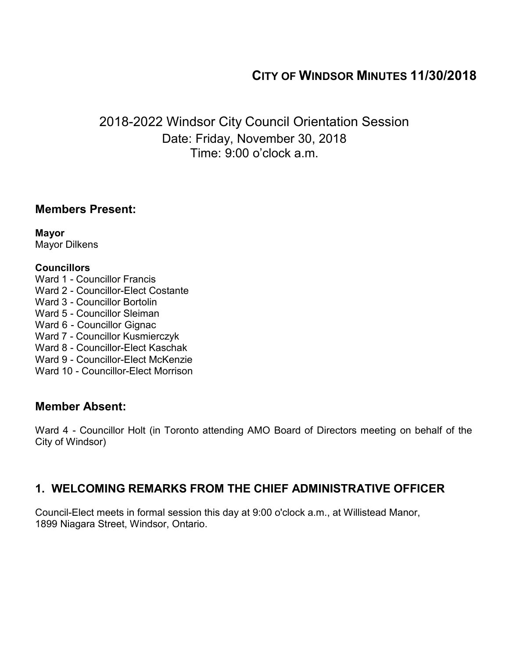# **CITY OF WINDSOR MINUTES 11/30/2018**

2018-2022 Windsor City Council Orientation Session Date: Friday, November 30, 2018 Time: 9:00 o'clock a.m.

## **Members Present:**

**Mayor** Mayor Dilkens

### **Councillors**

- Ward 1 Councillor Francis
- Ward 2 Councillor-Elect Costante
- Ward 3 Councillor Bortolin
- Ward 5 Councillor Sleiman
- Ward 6 Councillor Gignac
- Ward 7 Councillor Kusmierczyk
- Ward 8 Councillor-Elect Kaschak
- Ward 9 Councillor-Elect McKenzie
- Ward 10 Councillor-Elect Morrison

## **Member Absent:**

Ward 4 - Councillor Holt (in Toronto attending AMO Board of Directors meeting on behalf of the City of Windsor)

# **1. WELCOMING REMARKS FROM THE CHIEF ADMINISTRATIVE OFFICER**

Council-Elect meets in formal session this day at 9:00 o'clock a.m., at Willistead Manor, 1899 Niagara Street, Windsor, Ontario.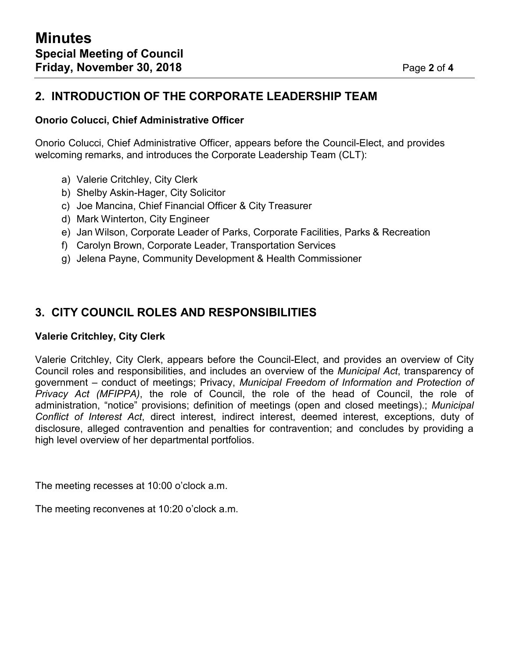# **2. INTRODUCTION OF THE CORPORATE LEADERSHIP TEAM**

### **Onorio Colucci, Chief Administrative Officer**

Onorio Colucci, Chief Administrative Officer, appears before the Council-Elect, and provides welcoming remarks, and introduces the Corporate Leadership Team (CLT):

- a) Valerie Critchley, City Clerk
- b) Shelby Askin-Hager, City Solicitor
- c) Joe Mancina, Chief Financial Officer & City Treasurer
- d) Mark Winterton, City Engineer
- e) Jan Wilson, Corporate Leader of Parks, Corporate Facilities, Parks & Recreation
- f) Carolyn Brown, Corporate Leader, Transportation Services
- g) Jelena Payne, Community Development & Health Commissioner

# **3. CITY COUNCIL ROLES AND RESPONSIBILITIES**

#### **Valerie Critchley, City Clerk**

Valerie Critchley, City Clerk, appears before the Council-Elect, and provides an overview of City Council roles and responsibilities, and includes an overview of the *Municipal Act*, transparency of government – conduct of meetings; Privacy, *Municipal Freedom of Information and Protection of Privacy Act (MFIPPA)*, the role of Council, the role of the head of Council, the role of administration, "notice" provisions; definition of meetings (open and closed meetings).; *Municipal Conflict of Interest Act*, direct interest, indirect interest, deemed interest, exceptions, duty of disclosure, alleged contravention and penalties for contravention; and concludes by providing a high level overview of her departmental portfolios.

The meeting recesses at 10:00 o'clock a.m.

The meeting reconvenes at 10:20 o'clock a.m.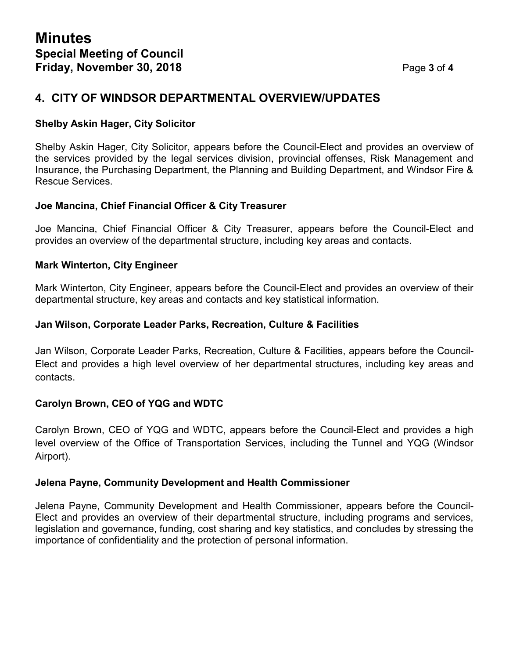## **4. CITY OF WINDSOR DEPARTMENTAL OVERVIEW/UPDATES**

### **Shelby Askin Hager, City Solicitor**

Shelby Askin Hager, City Solicitor, appears before the Council-Elect and provides an overview of the services provided by the legal services division, provincial offenses, Risk Management and Insurance, the Purchasing Department, the Planning and Building Department, and Windsor Fire & Rescue Services.

### **Joe Mancina, Chief Financial Officer & City Treasurer**

Joe Mancina, Chief Financial Officer & City Treasurer, appears before the Council-Elect and provides an overview of the departmental structure, including key areas and contacts.

#### **Mark Winterton, City Engineer**

Mark Winterton, City Engineer, appears before the Council-Elect and provides an overview of their departmental structure, key areas and contacts and key statistical information.

#### **Jan Wilson, Corporate Leader Parks, Recreation, Culture & Facilities**

Jan Wilson, Corporate Leader Parks, Recreation, Culture & Facilities, appears before the Council-Elect and provides a high level overview of her departmental structures, including key areas and contacts.

#### **Carolyn Brown, CEO of YQG and WDTC**

Carolyn Brown, CEO of YQG and WDTC, appears before the Council-Elect and provides a high level overview of the Office of Transportation Services, including the Tunnel and YQG (Windsor Airport).

#### **Jelena Payne, Community Development and Health Commissioner**

Jelena Payne, Community Development and Health Commissioner, appears before the Council-Elect and provides an overview of their departmental structure, including programs and services, legislation and governance, funding, cost sharing and key statistics, and concludes by stressing the importance of confidentiality and the protection of personal information.